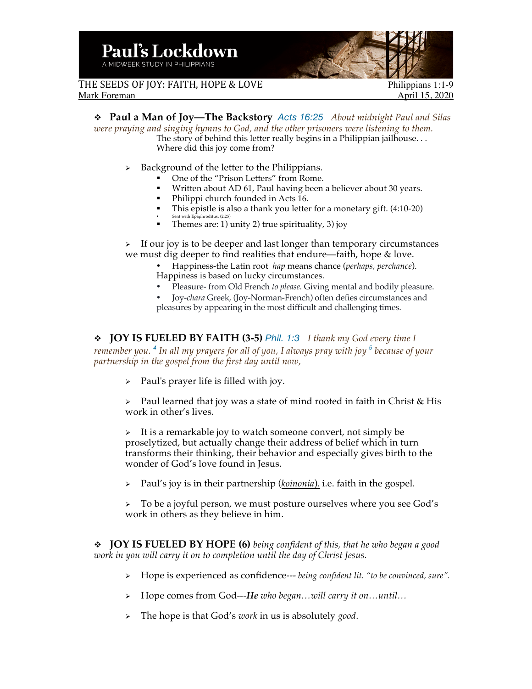

THE SEEDS OF JOY: FAITH, HOPE & LOVE Philippians 1:1-9<br>Mark Foreman April 15, 2020

April 15, 2020

v **Paul a Man of Joy—The Backstory** *Acts 16:25 About midnight Paul and Silas were praying and singing hymns to God, and the other prisoners were listening to them.* The story of behind this letter really begins in a Philippian jailhouse. . . Where did this joy come from?

- $\triangleright$  Background of the letter to the Philippians.
	- § One of the "Prison Letters" from Rome.
	- Written about AD 61, Paul having been a believer about 30 years.
	- § Philippi church founded in Acts 16.
	- § This epistle is also a thank you letter for a monetary gift. (4:10-20)
	- § Sent with Epaphroditus. (2:25) § Themes are: 1) unity 2) true spirituality, 3) joy

 $\triangleright$  If our joy is to be deeper and last longer than temporary circumstances we must dig deeper to find realities that endure—faith, hope & love.

- Happiness-the Latin root *hap* means chance (*perhaps, perchance*). Happiness is based on lucky circumstances.
- Pleasure- from Old French *to please.* Giving mental and bodily pleasure.

• Joy-*chara* Greek, (Joy-Norman-French) often defies circumstances and pleasures by appearing in the most difficult and challenging times.

v **JOY IS FUELED BY FAITH (3-5)** *Phil. 1:3 I thank my God every time I* 

*remember you. <sup>4</sup> In all my prayers for all of you, I always pray with joy <sup>5</sup> because of your partnership in the gospel from the first day until now,*

 $\triangleright$  Paul's prayer life is filled with joy.

 $\triangleright$  Paul learned that joy was a state of mind rooted in faith in Christ & His work in other's lives.

 $\triangleright$  It is a remarkable joy to watch someone convert, not simply be proselytized, but actually change their address of belief which in turn transforms their thinking, their behavior and especially gives birth to the wonder of God's love found in Jesus.

Ø Paul's joy is in their partnership (*koinonia*). i.e. faith in the gospel.

 $\triangleright$  To be a joyful person, we must posture ourselves where you see God's work in others as they believe in him.

v **JOY IS FUELED BY HOPE (6)** *being confident of this, that he who began a good work in you will carry it on to completion until the day of Christ Jesus.*

- Ø Hope is experienced as confidence--- *being confident lit. "to be convinced, sure".*
- Ø Hope comes from God---*He who began…will carry it on…until…*
- Ø The hope is that God's *work* in us is absolutely *good*.